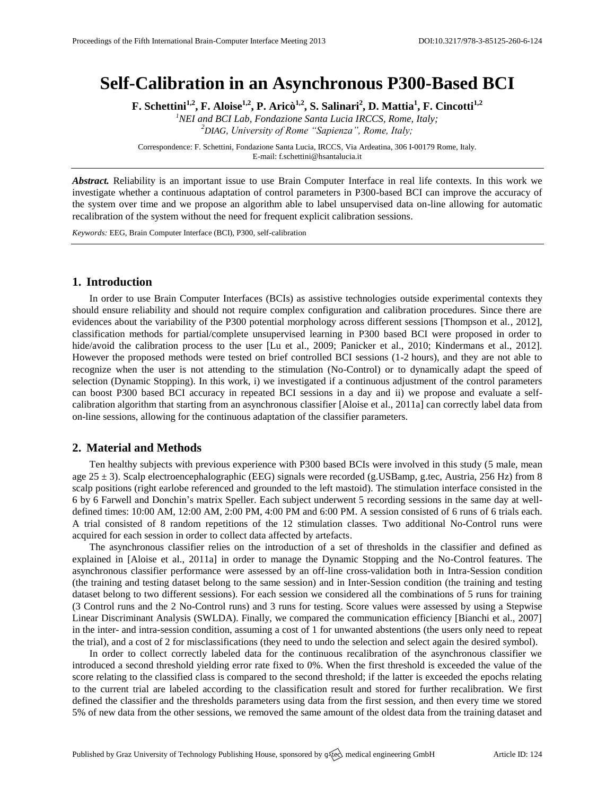# **Self-Calibration in an Asynchronous P300-Based BCI**

**F. Schettini1,2, F. Aloise1,2, P. Aricò1,2, S. Salinari<sup>2</sup> , D. Mattia<sup>1</sup> , F. Cincotti1,2**

*<sup>1</sup>NEI and BCI Lab, Fondazione Santa Lucia IRCCS, Rome, Italy; <sup>2</sup>DIAG, University of Rome "Sapienza", Rome, Italy;*

Correspondence: F. Schettini, Fondazione Santa Lucia, IRCCS, Via Ardeatina, 306 I-00179 Rome, Italy. E-mail[: f.schettini@hsantalucia.it](mailto:f.schettini@hsantalucia.it)

*Abstract.* Reliability is an important issue to use Brain Computer Interface in real life contexts. In this work we investigate whether a continuous adaptation of control parameters in P300-based BCI can improve the accuracy of the system over time and we propose an algorithm able to label unsupervised data on-line allowing for automatic recalibration of the system without the need for frequent explicit calibration sessions.

*Keywords:* EEG, Brain Computer Interface (BCI), P300, self-calibration

## **1. Introduction**

In order to use Brain Computer Interfaces (BCIs) as assistive technologies outside experimental contexts they should ensure reliability and should not require complex configuration and calibration procedures. Since there are evidences about the variability of the P300 potential morphology across different sessions [Thompson et al., 2012], classification methods for partial/complete unsupervised learning in P300 based BCI were proposed in order to hide/avoid the calibration process to the user [Lu et al., 2009; Panicker et al., 2010; Kindermans et al., 2012]. However the proposed methods were tested on brief controlled BCI sessions (1-2 hours), and they are not able to recognize when the user is not attending to the stimulation (No-Control) or to dynamically adapt the speed of selection (Dynamic Stopping). In this work, i) we investigated if a continuous adjustment of the control parameters can boost P300 based BCI accuracy in repeated BCI sessions in a day and ii) we propose and evaluate a selfcalibration algorithm that starting from an asynchronous classifier [Aloise et al., 2011a] can correctly label data from on-line sessions, allowing for the continuous adaptation of the classifier parameters.

#### **2. Material and Methods**

Ten healthy subjects with previous experience with P300 based BCIs were involved in this study (5 male, mean age  $25 \pm 3$ ). Scalp electroencephalographic (EEG) signals were recorded (g.USBamp, g.tec, Austria, 256 Hz) from 8 scalp positions (right earlobe referenced and grounded to the left mastoid). The stimulation interface consisted in the 6 by 6 Farwell and Donchin's matrix Speller. Each subject underwent 5 recording sessions in the same day at welldefined times: 10:00 AM, 12:00 AM, 2:00 PM, 4:00 PM and 6:00 PM. A session consisted of 6 runs of 6 trials each. A trial consisted of 8 random repetitions of the 12 stimulation classes. Two additional No-Control runs were acquired for each session in order to collect data affected by artefacts.

The asynchronous classifier relies on the introduction of a set of thresholds in the classifier and defined as explained in [Aloise et al., 2011a] in order to manage the Dynamic Stopping and the No-Control features. The asynchronous classifier performance were assessed by an off-line cross-validation both in Intra-Session condition (the training and testing dataset belong to the same session) and in Inter-Session condition (the training and testing dataset belong to two different sessions). For each session we considered all the combinations of 5 runs for training (3 Control runs and the 2 No-Control runs) and 3 runs for testing. Score values were assessed by using a Stepwise Linear Discriminant Analysis (SWLDA). Finally, we compared the communication efficiency [Bianchi et al., 2007] in the inter- and intra-session condition, assuming a cost of 1 for unwanted abstentions (the users only need to repeat the trial), and a cost of 2 for misclassifications (they need to undo the selection and select again the desired symbol).

In order to collect correctly labeled data for the continuous recalibration of the asynchronous classifier we introduced a second threshold yielding error rate fixed to 0%. When the first threshold is exceeded the value of the score relating to the classified class is compared to the second threshold; if the latter is exceeded the epochs relating to the current trial are labeled according to the classification result and stored for further recalibration. We first defined the classifier and the thresholds parameters using data from the first session, and then every time we stored 5% of new data from the other sessions, we removed the same amount of the oldest data from the training dataset and